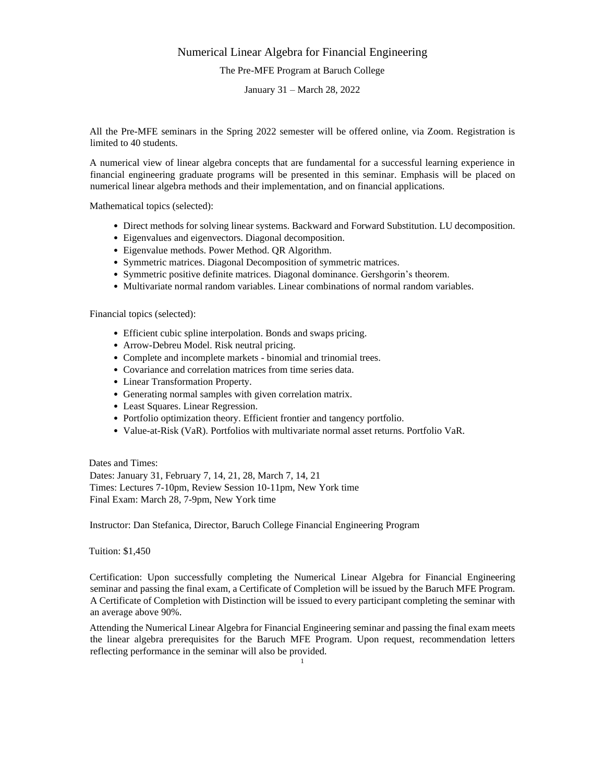# Numerical Linear Algebra for Financial Engineering The Pre-MFE Program at Baruch College

January 31 – March 28, 2022

All the Pre-MFE seminars in the Spring 2022 semester will be offered online, via Zoom. Registration is limited to 40 students.

A numerical view of linear algebra concepts that are fundamental for a successful learning experience in financial engineering graduate programs will be presented in this seminar. Emphasis will be placed on numerical linear algebra methods and their implementation, and on financial applications.

Mathematical topics (selected):

- Direct methods for solving linear systems. Backward and Forward Substitution. LU decomposition.
- Eigenvalues and eigenvectors. Diagonal decomposition.
- Eigenvalue methods. Power Method. QR Algorithm.
- Symmetric matrices. Diagonal Decomposition of symmetric matrices.
- Symmetric positive definite matrices. Diagonal dominance. Gershgorin's theorem.
- Multivariate normal random variables. Linear combinations of normal random variables.

Financial topics (selected):

- Efficient cubic spline interpolation. Bonds and swaps pricing.
- Arrow-Debreu Model. Risk neutral pricing.
- Complete and incomplete markets binomial and trinomial trees.
- Covariance and correlation matrices from time series data.
- Linear Transformation Property.
- Generating normal samples with given correlation matrix.
- Least Squares. Linear Regression.
- Portfolio optimization theory. Efficient frontier and tangency portfolio.
- Value-at-Risk (VaR). Portfolios with multivariate normal asset returns. Portfolio VaR.

Dates and Times: Dates: January 31, February 7, 14, 21, 28, March 7, 14, 21 Times: Lectures 7-10pm, Review Session 10-11pm, New York time Final Exam: March 28, 7-9pm, New York time

Instructor: Dan Stefanica, Director, Baruch College Financial Engineering Program

Tuition: \$1,450

Certification: Upon successfully completing the Numerical Linear Algebra for Financial Engineering seminar and passing the final exam, a Certificate of Completion will be issued by the Baruch MFE Program. A Certificate of Completion with Distinction will be issued to every participant completing the seminar with an average above 90%.

Attending the Numerical Linear Algebra for Financial Engineering seminar and passing the final exam meets the linear algebra prerequisites for the Baruch MFE Program. Upon request, recommendation letters reflecting performance in the seminar will also be provided.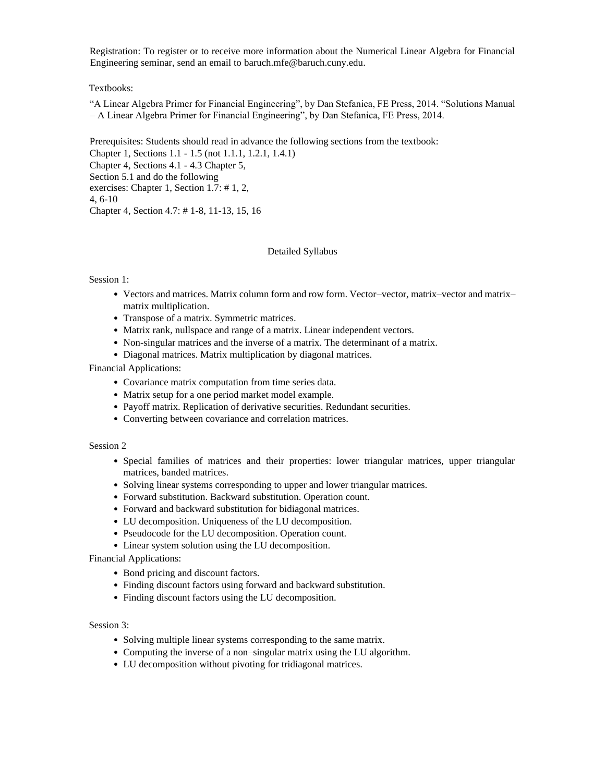Registration: To register or to receive more information about the Numerical Linear Algebra for Financial Engineering seminar, send an email to baruch.mfe@baruch.cuny.edu.

## Textbooks:

"A Linear Algebra Primer for Financial Engineering", by Dan Stefanica, FE Press, 2014. "Solutions Manual – A Linear Algebra Primer for Financial Engineering", by Dan Stefanica, FE Press, 2014.

Prerequisites: Students should read in advance the following sections from the textbook:

Chapter 1, Sections 1.1 - 1.5 (not 1.1.1, 1.2.1, 1.4.1) Chapter 4, Sections 4.1 - 4.3 Chapter 5, Section 5.1 and do the following exercises: Chapter 1, Section 1.7: # 1, 2, 4, 6-10 Chapter 4, Section 4.7: # 1-8, 11-13, 15, 16

## Detailed Syllabus

### Session 1:

- Vectors and matrices. Matrix column form and row form. Vector–vector, matrix–vector and matrix– matrix multiplication.
- Transpose of a matrix. Symmetric matrices.
- Matrix rank, nullspace and range of a matrix. Linear independent vectors.
- Non-singular matrices and the inverse of a matrix. The determinant of a matrix.
- Diagonal matrices. Matrix multiplication by diagonal matrices.

Financial Applications:

- Covariance matrix computation from time series data.
- Matrix setup for a one period market model example.
- Payoff matrix. Replication of derivative securities. Redundant securities.
- Converting between covariance and correlation matrices.

## Session 2

- Special families of matrices and their properties: lower triangular matrices, upper triangular matrices, banded matrices.
- Solving linear systems corresponding to upper and lower triangular matrices.
- Forward substitution. Backward substitution. Operation count.
- Forward and backward substitution for bidiagonal matrices.
- LU decomposition. Uniqueness of the LU decomposition.
- Pseudocode for the LU decomposition. Operation count.
- Linear system solution using the LU decomposition.

Financial Applications:

- Bond pricing and discount factors.
- Finding discount factors using forward and backward substitution.
- Finding discount factors using the LU decomposition.

## Session 3:

- Solving multiple linear systems corresponding to the same matrix.
- Computing the inverse of a non–singular matrix using the LU algorithm.
- LU decomposition without pivoting for tridiagonal matrices.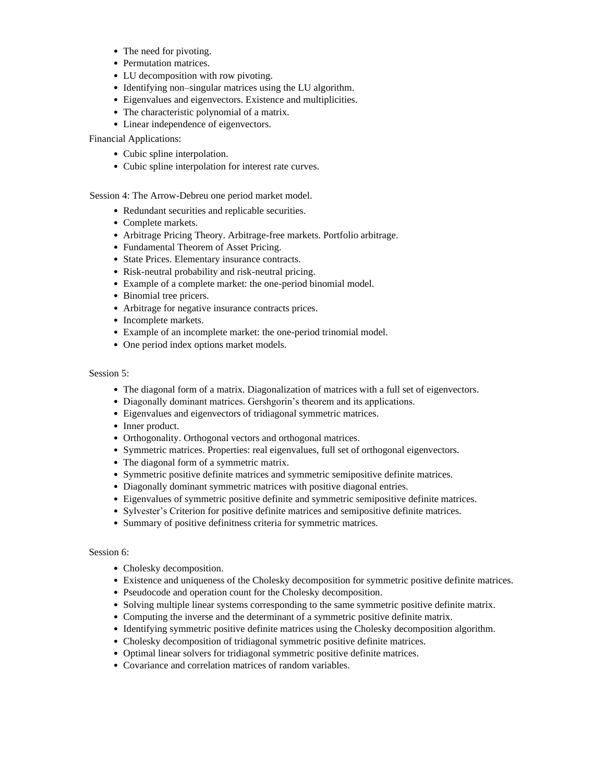- The need for pivoting.
- Permutation matrices.
- LU decomposition with row pivoting.
- Identifying non–singular matrices using the LU algorithm.
- Eigenvalues and eigenvectors. Existence and multiplicities.
- The characteristic polynomial of a matrix.
- Linear independence of eigenvectors.

Financial Applications:

- Cubic spline interpolation.
- Cubic spline interpolation for interest rate curves.

Session 4: The Arrow-Debreu one period market model.

- Redundant securities and replicable securities.
- Complete markets.
- Arbitrage Pricing Theory. Arbitrage-free markets. Portfolio arbitrage.
- Fundamental Theorem of Asset Pricing.
- State Prices. Elementary insurance contracts.
- Risk-neutral probability and risk-neutral pricing.
- Example of a complete market: the one-period binomial model.
- Binomial tree pricers.
- Arbitrage for negative insurance contracts prices.
- Incomplete markets.
- Example of an incomplete market: the one-period trinomial model.
- One period index options market models.

Session 5:

- The diagonal form of a matrix. Diagonalization of matrices with a full set of eigenvectors.
- Diagonally dominant matrices. Gershgorin's theorem and its applications.
- Eigenvalues and eigenvectors of tridiagonal symmetric matrices.
- Inner product.
- Orthogonality. Orthogonal vectors and orthogonal matrices.
- Symmetric matrices. Properties: real eigenvalues, full set of orthogonal eigenvectors.
- The diagonal form of a symmetric matrix.
- Symmetric positive definite matrices and symmetric semipositive definite matrices.
- Diagonally dominant symmetric matrices with positive diagonal entries.
- Eigenvalues of symmetric positive definite and symmetric semipositive definite matrices.
- Sylvester's Criterion for positive definite matrices and semipositive definite matrices.
- Summary of positive definitness criteria for symmetric matrices.

### Session 6:

- Cholesky decomposition.
- Existence and uniqueness of the Cholesky decomposition for symmetric positive definite matrices.
- Pseudocode and operation count for the Cholesky decomposition.
- Solving multiple linear systems corresponding to the same symmetric positive definite matrix.
- Computing the inverse and the determinant of a symmetric positive definite matrix.
- Identifying symmetric positive definite matrices using the Cholesky decomposition algorithm.
- Cholesky decomposition of tridiagonal symmetric positive definite matrices.
- Optimal linear solvers for tridiagonal symmetric positive definite matrices.
- Covariance and correlation matrices of random variables.